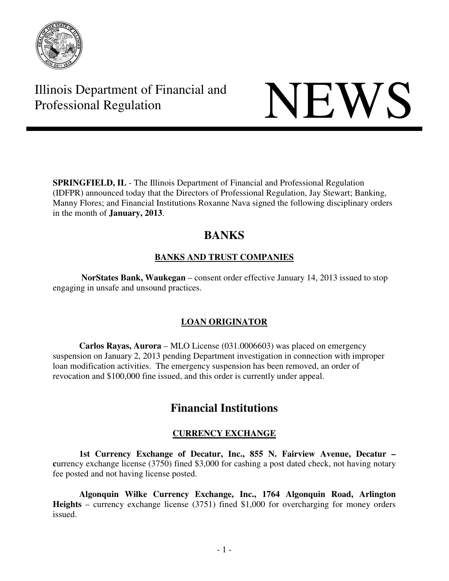

# Illinois Department of Financial and Illinois Department of Financial and<br>Professional Regulation

**SPRINGFIELD, IL** - The Illinois Department of Financial and Professional Regulation (IDFPR) announced today that the Directors of Professional Regulation, Jay Stewart; Banking, Manny Flores; and Financial Institutions Roxanne Nava signed the following disciplinary orders in the month of **January, 2013**.

## **BANKS**

## **BANKS AND TRUST COMPANIES**

 **NorStates Bank, Waukegan** – consent order effective January 14, 2013 issued to stop engaging in unsafe and unsound practices.

## **LOAN ORIGINATOR**

 **Carlos Rayas, Aurora** – MLO License (031.0006603) was placed on emergency suspension on January 2, 2013 pending Department investigation in connection with improper loan modification activities. The emergency suspension has been removed, an order of revocation and \$100,000 fine issued, and this order is currently under appeal.

## **Financial Institutions**

## **CURRENCY EXCHANGE**

 **1st Currency Exchange of Decatur, Inc., 855 N. Fairview Avenue, Decatur – currency exchange license (3750) fined \$3,000 for cashing a post dated check, not having notary** fee posted and not having license posted.

 **Algonquin Wilke Currency Exchange, Inc., 1764 Algonquin Road, Arlington Heights** – currency exchange license (3751) fined \$1,000 for overcharging for money orders issued.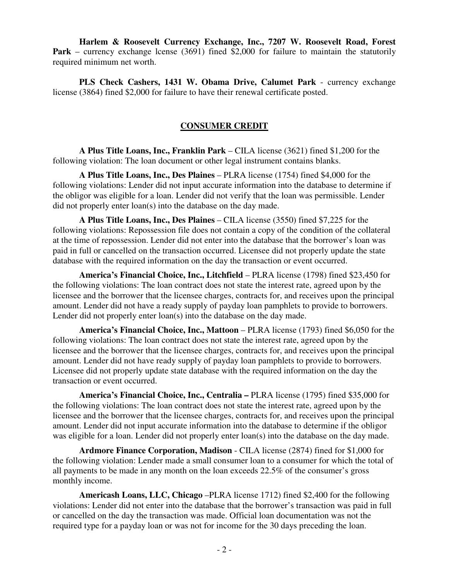**Harlem & Roosevelt Currency Exchange, Inc., 7207 W. Roosevelt Road, Forest Park** – currency exchange lcense (3691) fined \$2,000 for failure to maintain the statutorily required minimum net worth.

 **PLS Check Cashers, 1431 W. Obama Drive, Calumet Park** - currency exchange license (3864) fined \$2,000 for failure to have their renewal certificate posted.

#### **CONSUMER CREDIT**

 **A Plus Title Loans, Inc., Franklin Park** – CILA license (3621) fined \$1,200 for the following violation: The loan document or other legal instrument contains blanks.

 **A Plus Title Loans, Inc., Des Plaines** – PLRA license (1754) fined \$4,000 for the following violations: Lender did not input accurate information into the database to determine if the obligor was eligible for a loan. Lender did not verify that the loan was permissible. Lender did not properly enter loan(s) into the database on the day made.

 **A Plus Title Loans, Inc., Des Plaines** – CILA license (3550) fined \$7,225 for the following violations: Repossession file does not contain a copy of the condition of the collateral at the time of repossession. Lender did not enter into the database that the borrower's loan was paid in full or cancelled on the transaction occurred. Licensee did not properly update the state database with the required information on the day the transaction or event occurred.

 **America's Financial Choice, Inc., Litchfield** – PLRA license (1798) fined \$23,450 for the following violations: The loan contract does not state the interest rate, agreed upon by the licensee and the borrower that the licensee charges, contracts for, and receives upon the principal amount. Lender did not have a ready supply of payday loan pamphlets to provide to borrowers. Lender did not properly enter loan(s) into the database on the day made.

 **America's Financial Choice, Inc., Mattoon** – PLRA license (1793) fined \$6,050 for the following violations: The loan contract does not state the interest rate, agreed upon by the licensee and the borrower that the licensee charges, contracts for, and receives upon the principal amount. Lender did not have ready supply of payday loan pamphlets to provide to borrowers. Licensee did not properly update state database with the required information on the day the transaction or event occurred.

 **America's Financial Choice, Inc., Centralia –** PLRA license (1795) fined \$35,000 for the following violations: The loan contract does not state the interest rate, agreed upon by the licensee and the borrower that the licensee charges, contracts for, and receives upon the principal amount. Lender did not input accurate information into the database to determine if the obligor was eligible for a loan. Lender did not properly enter loan(s) into the database on the day made.

 **Ardmore Finance Corporation, Madison** - CILA license (2874) fined for \$1,000 for the following violation: Lender made a small consumer loan to a consumer for which the total of all payments to be made in any month on the loan exceeds 22.5% of the consumer's gross monthly income.

 **Americash Loans, LLC, Chicago** –PLRA license 1712) fined \$2,400 for the following violations: Lender did not enter into the database that the borrower's transaction was paid in full or cancelled on the day the transaction was made. Official loan documentation was not the required type for a payday loan or was not for income for the 30 days preceding the loan.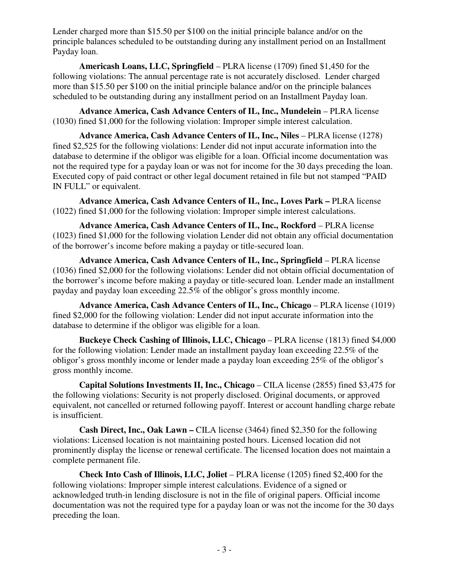Lender charged more than \$15.50 per \$100 on the initial principle balance and/or on the principle balances scheduled to be outstanding during any installment period on an Installment Payday loan.

 **Americash Loans, LLC, Springfield** – PLRA license (1709) fined \$1,450 for the following violations: The annual percentage rate is not accurately disclosed. Lender charged more than \$15.50 per \$100 on the initial principle balance and/or on the principle balances scheduled to be outstanding during any installment period on an Installment Payday loan.

 **Advance America, Cash Advance Centers of IL, Inc., Mundelein** – PLRA license (1030) fined \$1,000 for the following violation: Improper simple interest calculation.

**Advance America, Cash Advance Centers of IL, Inc., Niles – PLRA license (1278)** fined \$2,525 for the following violations: Lender did not input accurate information into the database to determine if the obligor was eligible for a loan. Official income documentation was not the required type for a payday loan or was not for income for the 30 days preceding the loan. Executed copy of paid contract or other legal document retained in file but not stamped "PAID IN FULL" or equivalent.

 **Advance America, Cash Advance Centers of IL, Inc., Loves Park –** PLRA license (1022) fined \$1,000 for the following violation: Improper simple interest calculations.

**Advance America, Cash Advance Centers of IL, Inc., Rockford - PLRA license** (1023) fined \$1,000 for the following violation Lender did not obtain any official documentation of the borrower's income before making a payday or title-secured loan.

 **Advance America, Cash Advance Centers of IL, Inc., Springfield** – PLRA license (1036) fined \$2,000 for the following violations: Lender did not obtain official documentation of the borrower's income before making a payday or title-secured loan. Lender made an installment payday and payday loan exceeding 22.5% of the obligor's gross monthly income.

**Advance America, Cash Advance Centers of IL, Inc., Chicago – PLRA license (1019)** fined \$2,000 for the following violation: Lender did not input accurate information into the database to determine if the obligor was eligible for a loan.

**Buckeye Check Cashing of Illinois, LLC, Chicago** – PLRA license (1813) fined \$4,000 for the following violation: Lender made an installment payday loan exceeding 22.5% of the obligor's gross monthly income or lender made a payday loan exceeding 25% of the obligor's gross monthly income.

 **Capital Solutions Investments II, Inc., Chicago** – CILA license (2855) fined \$3,475 for the following violations: Security is not properly disclosed. Original documents, or approved equivalent, not cancelled or returned following payoff. Interest or account handling charge rebate is insufficient.

 **Cash Direct, Inc., Oak Lawn –** CILA license (3464) fined \$2,350 for the following violations: Licensed location is not maintaining posted hours. Licensed location did not prominently display the license or renewal certificate. The licensed location does not maintain a complete permanent file.

 **Check Into Cash of Illinois, LLC, Joliet** – PLRA license (1205) fined \$2,400 for the following violations: Improper simple interest calculations. Evidence of a signed or acknowledged truth-in lending disclosure is not in the file of original papers. Official income documentation was not the required type for a payday loan or was not the income for the 30 days preceding the loan.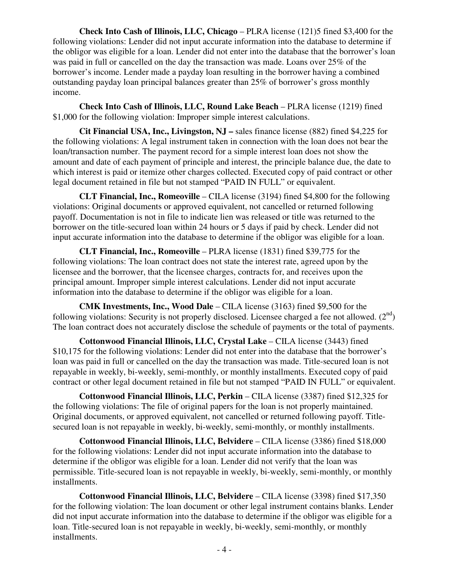**Check Into Cash of Illinois, LLC, Chicago** – PLRA license (121)5 fined \$3,400 for the following violations: Lender did not input accurate information into the database to determine if the obligor was eligible for a loan. Lender did not enter into the database that the borrower's loan was paid in full or cancelled on the day the transaction was made. Loans over 25% of the borrower's income. Lender made a payday loan resulting in the borrower having a combined outstanding payday loan principal balances greater than 25% of borrower's gross monthly income.

 **Check Into Cash of Illinois, LLC, Round Lake Beach** – PLRA license (1219) fined \$1,000 for the following violation: Improper simple interest calculations.

 **Cit Financial USA, Inc., Livingston, NJ –** sales finance license (882) fined \$4,225 for the following violations: A legal instrument taken in connection with the loan does not bear the loan/transaction number. The payment record for a simple interest loan does not show the amount and date of each payment of principle and interest, the principle balance due, the date to which interest is paid or itemize other charges collected. Executed copy of paid contract or other legal document retained in file but not stamped "PAID IN FULL" or equivalent.

 **CLT Financial, Inc., Romeoville** – CILA license (3194) fined \$4,800 for the following violations: Original documents or approved equivalent, not cancelled or returned following payoff. Documentation is not in file to indicate lien was released or title was returned to the borrower on the title-secured loan within 24 hours or 5 days if paid by check. Lender did not input accurate information into the database to determine if the obligor was eligible for a loan.

 **CLT Financial, Inc., Romeoville** – PLRA license (1831) fined \$39,775 for the following violations: The loan contract does not state the interest rate, agreed upon by the licensee and the borrower, that the licensee charges, contracts for, and receives upon the principal amount. Improper simple interest calculations. Lender did not input accurate information into the database to determine if the obligor was eligible for a loan.

 **CMK Investments, Inc., Wood Dale** – CILA license (3163) fined \$9,500 for the following violations: Security is not properly disclosed. Licensee charged a fee not allowed.  $(2^{nd})$ The loan contract does not accurately disclose the schedule of payments or the total of payments.

 **Cottonwood Financial Illinois, LLC, Crystal Lake** – CILA license (3443) fined \$10,175 for the following violations: Lender did not enter into the database that the borrower's loan was paid in full or cancelled on the day the transaction was made. Title-secured loan is not repayable in weekly, bi-weekly, semi-monthly, or monthly installments. Executed copy of paid contract or other legal document retained in file but not stamped "PAID IN FULL" or equivalent.

 **Cottonwood Financial Illinois, LLC, Perkin** – CILA license (3387) fined \$12,325 for the following violations: The file of original papers for the loan is not properly maintained. Original documents, or approved equivalent, not cancelled or returned following payoff. Titlesecured loan is not repayable in weekly, bi-weekly, semi-monthly, or monthly installments.

 **Cottonwood Financial Illinois, LLC, Belvidere** – CILA license (3386) fined \$18,000 for the following violations: Lender did not input accurate information into the database to determine if the obligor was eligible for a loan. Lender did not verify that the loan was permissible. Title-secured loan is not repayable in weekly, bi-weekly, semi-monthly, or monthly installments.

 **Cottonwood Financial Illinois, LLC, Belvidere** – CILA license (3398) fined \$17,350 for the following violation: The loan document or other legal instrument contains blanks. Lender did not input accurate information into the database to determine if the obligor was eligible for a loan. Title-secured loan is not repayable in weekly, bi-weekly, semi-monthly, or monthly installments.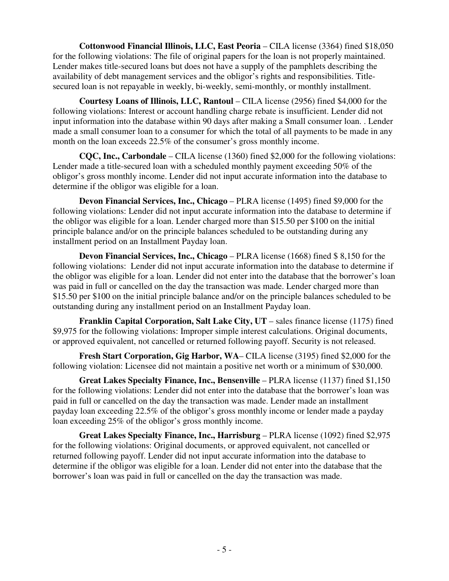**Cottonwood Financial Illinois, LLC, East Peoria – CILA license (3364) fined \$18,050** for the following violations: The file of original papers for the loan is not properly maintained. Lender makes title-secured loans but does not have a supply of the pamphlets describing the availability of debt management services and the obligor's rights and responsibilities. Titlesecured loan is not repayable in weekly, bi-weekly, semi-monthly, or monthly installment.

 **Courtesy Loans of Illinois, LLC, Rantoul** – CILA license (2956) fined \$4,000 for the following violations: Interest or account handling charge rebate is insufficient. Lender did not input information into the database within 90 days after making a Small consumer loan. . Lender made a small consumer loan to a consumer for which the total of all payments to be made in any month on the loan exceeds 22.5% of the consumer's gross monthly income.

 **CQC, Inc., Carbondale** – CILA license (1360) fined \$2,000 for the following violations: Lender made a title-secured loan with a scheduled monthly payment exceeding 50% of the obligor's gross monthly income. Lender did not input accurate information into the database to determine if the obligor was eligible for a loan.

**Devon Financial Services, Inc., Chicago** – PLRA license (1495) fined \$9,000 for the following violations: Lender did not input accurate information into the database to determine if the obligor was eligible for a loan. Lender charged more than \$15.50 per \$100 on the initial principle balance and/or on the principle balances scheduled to be outstanding during any installment period on an Installment Payday loan.

**Devon Financial Services, Inc., Chicago** – PLRA license (1668) fined \$ 8,150 for the following violations: Lender did not input accurate information into the database to determine if the obligor was eligible for a loan. Lender did not enter into the database that the borrower's loan was paid in full or cancelled on the day the transaction was made. Lender charged more than \$15.50 per \$100 on the initial principle balance and/or on the principle balances scheduled to be outstanding during any installment period on an Installment Payday loan.

 **Franklin Capital Corporation, Salt Lake City, UT** – sales finance license (1175) fined \$9,975 for the following violations: Improper simple interest calculations. Original documents, or approved equivalent, not cancelled or returned following payoff. Security is not released.

 **Fresh Start Corporation, Gig Harbor, WA**– CILA license (3195) fined \$2,000 for the following violation: Licensee did not maintain a positive net worth or a minimum of \$30,000.

**Great Lakes Specialty Finance, Inc., Bensenville** – PLRA license (1137) fined \$1,150 for the following violations: Lender did not enter into the database that the borrower's loan was paid in full or cancelled on the day the transaction was made. Lender made an installment payday loan exceeding 22.5% of the obligor's gross monthly income or lender made a payday loan exceeding 25% of the obligor's gross monthly income.

 **Great Lakes Specialty Finance, Inc., Harrisburg** – PLRA license (1092) fined \$2,975 for the following violations: Original documents, or approved equivalent, not cancelled or returned following payoff. Lender did not input accurate information into the database to determine if the obligor was eligible for a loan. Lender did not enter into the database that the borrower's loan was paid in full or cancelled on the day the transaction was made.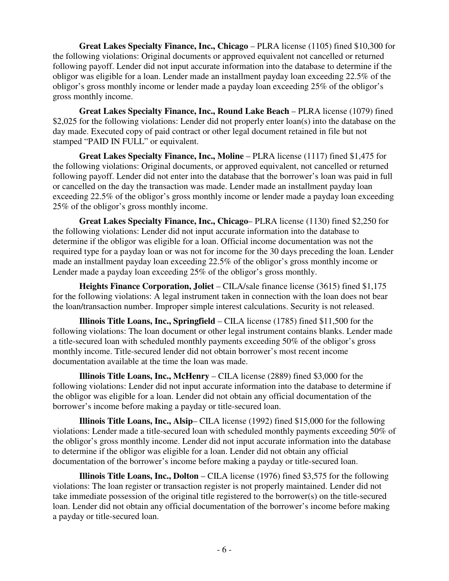**Great Lakes Specialty Finance, Inc., Chicago** – PLRA license (1105) fined \$10,300 for the following violations: Original documents or approved equivalent not cancelled or returned following payoff. Lender did not input accurate information into the database to determine if the obligor was eligible for a loan. Lender made an installment payday loan exceeding 22.5% of the obligor's gross monthly income or lender made a payday loan exceeding 25% of the obligor's gross monthly income.

 **Great Lakes Specialty Finance, Inc., Round Lake Beach** – PLRA license (1079) fined \$2,025 for the following violations: Lender did not properly enter loan(s) into the database on the day made. Executed copy of paid contract or other legal document retained in file but not stamped "PAID IN FULL" or equivalent.

 **Great Lakes Specialty Finance, Inc., Moline** – PLRA license (1117) fined \$1,475 for the following violations: Original documents, or approved equivalent, not cancelled or returned following payoff. Lender did not enter into the database that the borrower's loan was paid in full or cancelled on the day the transaction was made. Lender made an installment payday loan exceeding 22.5% of the obligor's gross monthly income or lender made a payday loan exceeding 25% of the obligor's gross monthly income.

 **Great Lakes Specialty Finance, Inc., Chicago**– PLRA license (1130) fined \$2,250 for the following violations: Lender did not input accurate information into the database to determine if the obligor was eligible for a loan. Official income documentation was not the required type for a payday loan or was not for income for the 30 days preceding the loan. Lender made an installment payday loan exceeding 22.5% of the obligor's gross monthly income or Lender made a payday loan exceeding 25% of the obligor's gross monthly.

**Heights Finance Corporation, Joliet** – CILA/sale finance license (3615) fined \$1,175 for the following violations: A legal instrument taken in connection with the loan does not bear the loan/transaction number. Improper simple interest calculations. Security is not released.

 **Illinois Title Loans, Inc., Springfield** – CILA license (1785) fined \$11,500 for the following violations: The loan document or other legal instrument contains blanks. Lender made a title-secured loan with scheduled monthly payments exceeding 50% of the obligor's gross monthly income. Title-secured lender did not obtain borrower's most recent income documentation available at the time the loan was made.

 **Illinois Title Loans, Inc., McHenry** – CILA license (2889) fined \$3,000 for the following violations: Lender did not input accurate information into the database to determine if the obligor was eligible for a loan. Lender did not obtain any official documentation of the borrower's income before making a payday or title-secured loan.

 **Illinois Title Loans, Inc., Alsip**– CILA license (1992) fined \$15,000 for the following violations: Lender made a title-secured loan with scheduled monthly payments exceeding 50% of the obligor's gross monthly income. Lender did not input accurate information into the database to determine if the obligor was eligible for a loan. Lender did not obtain any official documentation of the borrower's income before making a payday or title-secured loan.

 **Illinois Title Loans, Inc., Dolton** – CILA license (1976) fined \$3,575 for the following violations: The loan register or transaction register is not properly maintained. Lender did not take immediate possession of the original title registered to the borrower(s) on the title-secured loan. Lender did not obtain any official documentation of the borrower's income before making a payday or title-secured loan.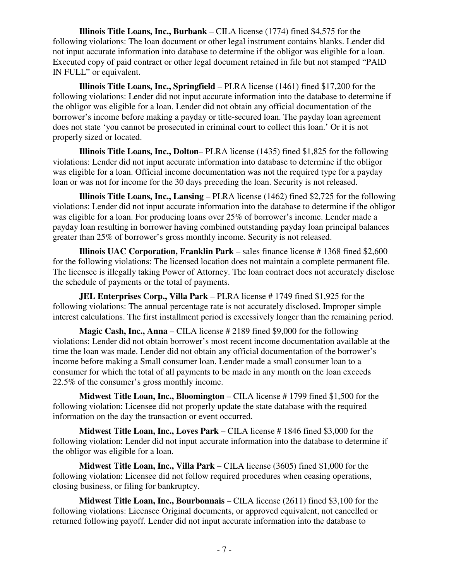**Illinois Title Loans, Inc., Burbank** – CILA license (1774) fined \$4,575 for the following violations: The loan document or other legal instrument contains blanks. Lender did not input accurate information into database to determine if the obligor was eligible for a loan. Executed copy of paid contract or other legal document retained in file but not stamped "PAID IN FULL" or equivalent.

 **Illinois Title Loans, Inc., Springfield** – PLRA license (1461) fined \$17,200 for the following violations: Lender did not input accurate information into the database to determine if the obligor was eligible for a loan. Lender did not obtain any official documentation of the borrower's income before making a payday or title-secured loan. The payday loan agreement does not state 'you cannot be prosecuted in criminal court to collect this loan.' Or it is not properly sized or located.

 **Illinois Title Loans, Inc., Dolton**– PLRA license (1435) fined \$1,825 for the following violations: Lender did not input accurate information into database to determine if the obligor was eligible for a loan. Official income documentation was not the required type for a payday loan or was not for income for the 30 days preceding the loan. Security is not released.

 **Illinois Title Loans, Inc., Lansing** – PLRA license (1462) fined \$2,725 for the following violations: Lender did not input accurate information into the database to determine if the obligor was eligible for a loan. For producing loans over 25% of borrower's income. Lender made a payday loan resulting in borrower having combined outstanding payday loan principal balances greater than 25% of borrower's gross monthly income. Security is not released.

**Illinois UAC Corporation, Franklin Park** – sales finance license #1368 fined \$2,600 for the following violations: The licensed location does not maintain a complete permanent file. The licensee is illegally taking Power of Attorney. The loan contract does not accurately disclose the schedule of payments or the total of payments.

 **JEL Enterprises Corp., Villa Park** – PLRA license # 1749 fined \$1,925 for the following violations: The annual percentage rate is not accurately disclosed. Improper simple interest calculations. The first installment period is excessively longer than the remaining period.

**Magic Cash, Inc., Anna** – CILA license # 2189 fined \$9,000 for the following violations: Lender did not obtain borrower's most recent income documentation available at the time the loan was made. Lender did not obtain any official documentation of the borrower's income before making a Small consumer loan. Lender made a small consumer loan to a consumer for which the total of all payments to be made in any month on the loan exceeds 22.5% of the consumer's gross monthly income.

 **Midwest Title Loan, Inc., Bloomington** – CILA license # 1799 fined \$1,500 for the following violation: Licensee did not properly update the state database with the required information on the day the transaction or event occurred.

 **Midwest Title Loan, Inc., Loves Park** – CILA license # 1846 fined \$3,000 for the following violation: Lender did not input accurate information into the database to determine if the obligor was eligible for a loan.

 **Midwest Title Loan, Inc., Villa Park** – CILA license (3605) fined \$1,000 for the following violation: Licensee did not follow required procedures when ceasing operations, closing business, or filing for bankruptcy.

 **Midwest Title Loan, Inc., Bourbonnais** – CILA license (2611) fined \$3,100 for the following violations: Licensee Original documents, or approved equivalent, not cancelled or returned following payoff. Lender did not input accurate information into the database to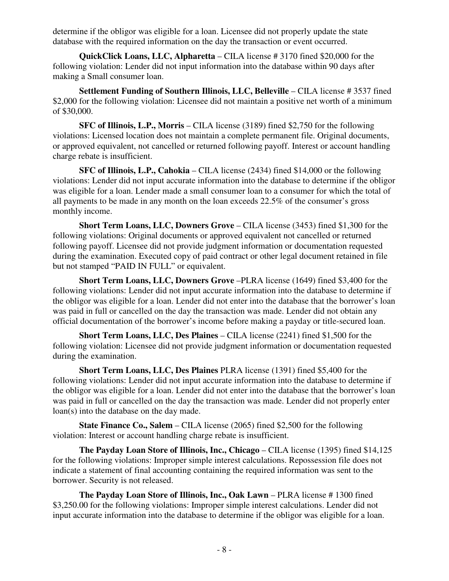determine if the obligor was eligible for a loan. Licensee did not properly update the state database with the required information on the day the transaction or event occurred.

 **QuickClick Loans, LLC, Alpharetta** – CILA license # 3170 fined \$20,000 for the following violation: Lender did not input information into the database within 90 days after making a Small consumer loan.

 **Settlement Funding of Southern Illinois, LLC, Belleville** – CILA license # 3537 fined \$2,000 for the following violation: Licensee did not maintain a positive net worth of a minimum of \$30,000.

 **SFC of Illinois, L.P., Morris** – CILA license (3189) fined \$2,750 for the following violations: Licensed location does not maintain a complete permanent file. Original documents, or approved equivalent, not cancelled or returned following payoff. Interest or account handling charge rebate is insufficient.

 **SFC of Illinois, L.P., Cahokia** – CILA license (2434) fined \$14,000 or the following violations: Lender did not input accurate information into the database to determine if the obligor was eligible for a loan. Lender made a small consumer loan to a consumer for which the total of all payments to be made in any month on the loan exceeds 22.5% of the consumer's gross monthly income.

 **Short Term Loans, LLC, Downers Grove** – CILA license (3453) fined \$1,300 for the following violations: Original documents or approved equivalent not cancelled or returned following payoff. Licensee did not provide judgment information or documentation requested during the examination. Executed copy of paid contract or other legal document retained in file but not stamped "PAID IN FULL" or equivalent.

 **Short Term Loans, LLC, Downers Grove** –PLRA license (1649) fined \$3,400 for the following violations: Lender did not input accurate information into the database to determine if the obligor was eligible for a loan. Lender did not enter into the database that the borrower's loan was paid in full or cancelled on the day the transaction was made. Lender did not obtain any official documentation of the borrower's income before making a payday or title-secured loan.

**Short Term Loans, LLC, Des Plaines – CILA license (2241) fined \$1,500 for the** following violation: Licensee did not provide judgment information or documentation requested during the examination.

 **Short Term Loans, LLC, Des Plaines** PLRA license (1391) fined \$5,400 for the following violations: Lender did not input accurate information into the database to determine if the obligor was eligible for a loan. Lender did not enter into the database that the borrower's loan was paid in full or cancelled on the day the transaction was made. Lender did not properly enter loan(s) into the database on the day made.

**State Finance Co., Salem** – CILA license (2065) fined \$2,500 for the following violation: Interest or account handling charge rebate is insufficient.

 **The Payday Loan Store of Illinois, Inc., Chicago** – CILA license (1395) fined \$14,125 for the following violations: Improper simple interest calculations. Repossession file does not indicate a statement of final accounting containing the required information was sent to the borrower. Security is not released.

**The Payday Loan Store of Illinois, Inc., Oak Lawn – PLRA license #1300 fined** \$3,250.00 for the following violations: Improper simple interest calculations. Lender did not input accurate information into the database to determine if the obligor was eligible for a loan.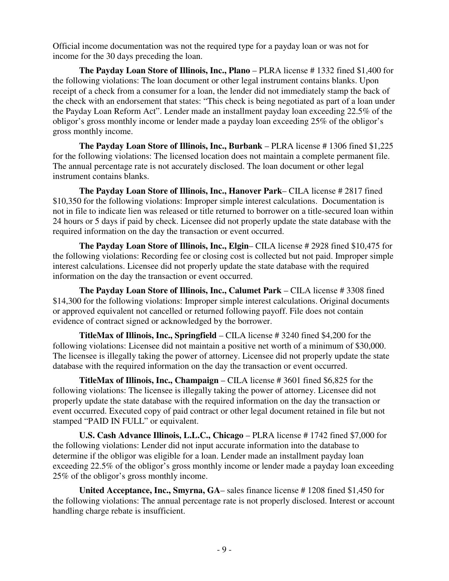Official income documentation was not the required type for a payday loan or was not for income for the 30 days preceding the loan.

**The Payday Loan Store of Illinois, Inc., Plano** – PLRA license # 1332 fined \$1,400 for the following violations: The loan document or other legal instrument contains blanks. Upon receipt of a check from a consumer for a loan, the lender did not immediately stamp the back of the check with an endorsement that states: "This check is being negotiated as part of a loan under the Payday Loan Reform Act". Lender made an installment payday loan exceeding 22.5% of the obligor's gross monthly income or lender made a payday loan exceeding 25% of the obligor's gross monthly income.

 **The Payday Loan Store of Illinois, Inc., Burbank** – PLRA license # 1306 fined \$1,225 for the following violations: The licensed location does not maintain a complete permanent file. The annual percentage rate is not accurately disclosed. The loan document or other legal instrument contains blanks.

 **The Payday Loan Store of Illinois, Inc., Hanover Park**– CILA license # 2817 fined \$10,350 for the following violations: Improper simple interest calculations. Documentation is not in file to indicate lien was released or title returned to borrower on a title-secured loan within 24 hours or 5 days if paid by check. Licensee did not properly update the state database with the required information on the day the transaction or event occurred.

 **The Payday Loan Store of Illinois, Inc., Elgin**– CILA license # 2928 fined \$10,475 for the following violations: Recording fee or closing cost is collected but not paid. Improper simple interest calculations. Licensee did not properly update the state database with the required information on the day the transaction or event occurred.

 **The Payday Loan Store of Illinois, Inc., Calumet Park** – CILA license # 3308 fined \$14,300 for the following violations: Improper simple interest calculations. Original documents or approved equivalent not cancelled or returned following payoff. File does not contain evidence of contract signed or acknowledged by the borrower.

 **TitleMax of Illinois, Inc., Springfield** – CILA license # 3240 fined \$4,200 for the following violations: Licensee did not maintain a positive net worth of a minimum of \$30,000. The licensee is illegally taking the power of attorney. Licensee did not properly update the state database with the required information on the day the transaction or event occurred.

 **TitleMax of Illinois, Inc., Champaign** – CILA license # 3601 fined \$6,825 for the following violations: The licensee is illegally taking the power of attorney. Licensee did not properly update the state database with the required information on the day the transaction or event occurred. Executed copy of paid contract or other legal document retained in file but not stamped "PAID IN FULL" or equivalent.

**U.S. Cash Advance Illinois, L.L.C., Chicago** – PLRA license #1742 fined \$7,000 for the following violations: Lender did not input accurate information into the database to determine if the obligor was eligible for a loan. Lender made an installment payday loan exceeding 22.5% of the obligor's gross monthly income or lender made a payday loan exceeding 25% of the obligor's gross monthly income.

 **United Acceptance, Inc., Smyrna, GA**– sales finance license # 1208 fined \$1,450 for the following violations: The annual percentage rate is not properly disclosed. Interest or account handling charge rebate is insufficient.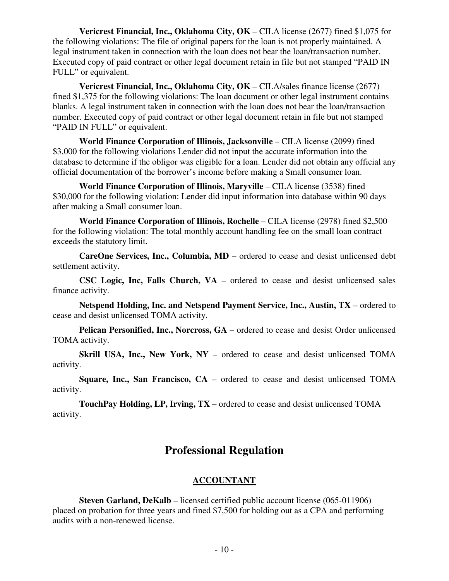**Vericrest Financial, Inc., Oklahoma City, OK** – CILA license (2677) fined \$1,075 for the following violations: The file of original papers for the loan is not properly maintained. A legal instrument taken in connection with the loan does not bear the loan/transaction number. Executed copy of paid contract or other legal document retain in file but not stamped "PAID IN FULL" or equivalent.

 **Vericrest Financial, Inc., Oklahoma City, OK** – CILA/sales finance license (2677) fined \$1,375 for the following violations: The loan document or other legal instrument contains blanks. A legal instrument taken in connection with the loan does not bear the loan/transaction number. Executed copy of paid contract or other legal document retain in file but not stamped "PAID IN FULL" or equivalent.

 **World Finance Corporation of Illinois, Jacksonville** – CILA license (2099) fined \$3,000 for the following violations Lender did not input the accurate information into the database to determine if the obligor was eligible for a loan. Lender did not obtain any official any official documentation of the borrower's income before making a Small consumer loan.

 **World Finance Corporation of Illinois, Maryville** – CILA license (3538) fined \$30,000 for the following violation: Lender did input information into database within 90 days after making a Small consumer loan.

 **World Finance Corporation of Illinois, Rochelle** – CILA license (2978) fined \$2,500 for the following violation: The total monthly account handling fee on the small loan contract exceeds the statutory limit.

 **CareOne Services, Inc., Columbia, MD** – ordered to cease and desist unlicensed debt settlement activity.

 **CSC Logic, Inc, Falls Church, VA** – ordered to cease and desist unlicensed sales finance activity.

 **Netspend Holding, Inc. and Netspend Payment Service, Inc., Austin, TX** – ordered to cease and desist unlicensed TOMA activity.

 **Pelican Personified, Inc., Norcross, GA** – ordered to cease and desist Order unlicensed TOMA activity.

**Skrill USA, Inc., New York, NY** – ordered to cease and desist unlicensed TOMA activity.

 **Square, Inc., San Francisco, CA** – ordered to cease and desist unlicensed TOMA activity.

 **TouchPay Holding, LP, Irving, TX** – ordered to cease and desist unlicensed TOMA activity.

## **Professional Regulation**

### **ACCOUNTANT**

**Steven Garland, DeKalb** – licensed certified public account license (065-011906) placed on probation for three years and fined \$7,500 for holding out as a CPA and performing audits with a non-renewed license.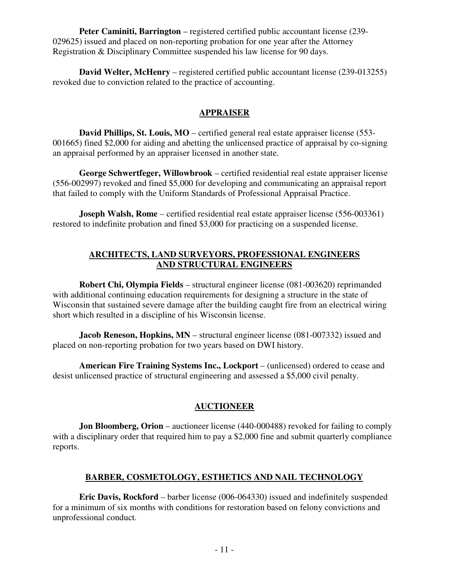**Peter Caminiti, Barrington** – registered certified public accountant license (239- 029625) issued and placed on non-reporting probation for one year after the Attorney Registration & Disciplinary Committee suspended his law license for 90 days.

**David Welter, McHenry** – registered certified public accountant license (239-013255) revoked due to conviction related to the practice of accounting.

#### **APPRAISER**

**David Phillips, St. Louis, MO** – certified general real estate appraiser license (553-001665) fined \$2,000 for aiding and abetting the unlicensed practice of appraisal by co-signing an appraisal performed by an appraiser licensed in another state.

 **George Schwertfeger, Willowbrook** – certified residential real estate appraiser license (556-002997) revoked and fined \$5,000 for developing and communicating an appraisal report that failed to comply with the Uniform Standards of Professional Appraisal Practice.

**Joseph Walsh, Rome** – certified residential real estate appraiser license (556-003361) restored to indefinite probation and fined \$3,000 for practicing on a suspended license.

#### **ARCHITECTS, LAND SURVEYORS, PROFESSIONAL ENGINEERS AND STRUCTURAL ENGINEERS**

 **Robert Chi, Olympia Fields** – structural engineer license (081-003620) reprimanded with additional continuing education requirements for designing a structure in the state of Wisconsin that sustained severe damage after the building caught fire from an electrical wiring short which resulted in a discipline of his Wisconsin license.

**Jacob Reneson, Hopkins, MN** – structural engineer license (081-007332) issued and placed on non-reporting probation for two years based on DWI history.

 **American Fire Training Systems Inc., Lockport** – (unlicensed) ordered to cease and desist unlicensed practice of structural engineering and assessed a \$5,000 civil penalty.

#### **AUCTIONEER**

**Jon Bloomberg, Orion** – auctioneer license (440-000488) revoked for failing to comply with a disciplinary order that required him to pay a \$2,000 fine and submit quarterly compliance reports.

### **BARBER, COSMETOLOGY, ESTHETICS AND NAIL TECHNOLOGY**

 **Eric Davis, Rockford** – barber license (006-064330) issued and indefinitely suspended for a minimum of six months with conditions for restoration based on felony convictions and unprofessional conduct.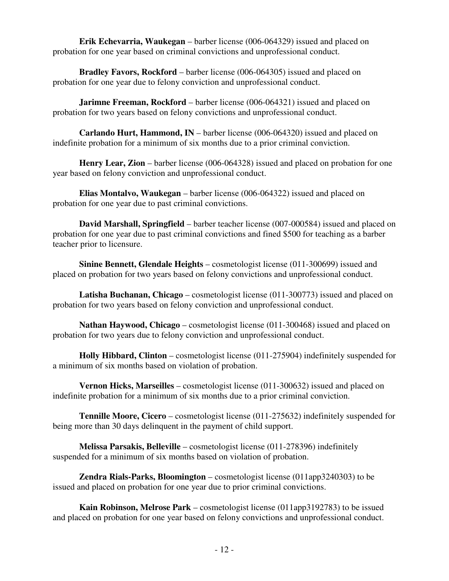**Erik Echevarria, Waukegan** – barber license (006-064329) issued and placed on probation for one year based on criminal convictions and unprofessional conduct.

 **Bradley Favors, Rockford** – barber license (006-064305) issued and placed on probation for one year due to felony conviction and unprofessional conduct.

**Jarimne Freeman, Rockford** – barber license (006-064321) issued and placed on probation for two years based on felony convictions and unprofessional conduct.

 **Carlando Hurt, Hammond, IN** – barber license (006-064320) issued and placed on indefinite probation for a minimum of six months due to a prior criminal conviction.

 **Henry Lear, Zion** – barber license (006-064328) issued and placed on probation for one year based on felony conviction and unprofessional conduct.

 **Elias Montalvo, Waukegan** – barber license (006-064322) issued and placed on probation for one year due to past criminal convictions.

 **David Marshall, Springfield** – barber teacher license (007-000584) issued and placed on probation for one year due to past criminal convictions and fined \$500 for teaching as a barber teacher prior to licensure.

 **Sinine Bennett, Glendale Heights** – cosmetologist license (011-300699) issued and placed on probation for two years based on felony convictions and unprofessional conduct.

 **Latisha Buchanan, Chicago** – cosmetologist license (011-300773) issued and placed on probation for two years based on felony conviction and unprofessional conduct.

 **Nathan Haywood, Chicago** – cosmetologist license (011-300468) issued and placed on probation for two years due to felony conviction and unprofessional conduct.

 **Holly Hibbard, Clinton** – cosmetologist license (011-275904) indefinitely suspended for a minimum of six months based on violation of probation.

 **Vernon Hicks, Marseilles** – cosmetologist license (011-300632) issued and placed on indefinite probation for a minimum of six months due to a prior criminal conviction.

 **Tennille Moore, Cicero** – cosmetologist license (011-275632) indefinitely suspended for being more than 30 days delinquent in the payment of child support.

 **Melissa Parsakis, Belleville** – cosmetologist license (011-278396) indefinitely suspended for a minimum of six months based on violation of probation.

 **Zendra Rials-Parks, Bloomington** – cosmetologist license (011app3240303) to be issued and placed on probation for one year due to prior criminal convictions.

 **Kain Robinson, Melrose Park** – cosmetologist license (011app3192783) to be issued and placed on probation for one year based on felony convictions and unprofessional conduct.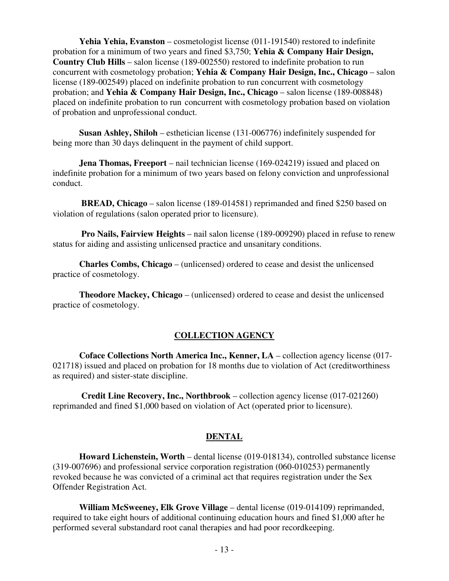**Yehia Yehia, Evanston** – cosmetologist license (011-191540) restored to indefinite probation for a minimum of two years and fined \$3,750; **Yehia & Company Hair Design, Country Club Hills** – salon license (189-002550) restored to indefinite probation to run concurrent with cosmetology probation; **Yehia & Company Hair Design, Inc., Chicago** – salon license (189-002549) placed on indefinite probation to run concurrent with cosmetology probation; and **Yehia & Company Hair Design, Inc., Chicago** – salon license (189-008848) placed on indefinite probation to run concurrent with cosmetology probation based on violation of probation and unprofessional conduct.

 **Susan Ashley, Shiloh** – esthetician license (131-006776) indefinitely suspended for being more than 30 days delinquent in the payment of child support.

 **Jena Thomas, Freeport** – nail technician license (169-024219) issued and placed on indefinite probation for a minimum of two years based on felony conviction and unprofessional conduct.

 **BREAD, Chicago** – salon license (189-014581) reprimanded and fined \$250 based on violation of regulations (salon operated prior to licensure).

 **Pro Nails, Fairview Heights** – nail salon license (189-009290) placed in refuse to renew status for aiding and assisting unlicensed practice and unsanitary conditions.

 **Charles Combs, Chicago** – (unlicensed) ordered to cease and desist the unlicensed practice of cosmetology.

 **Theodore Mackey, Chicago** – (unlicensed) ordered to cease and desist the unlicensed practice of cosmetology.

#### **COLLECTION AGENCY**

 **Coface Collections North America Inc., Kenner, LA** – collection agency license (017- 021718) issued and placed on probation for 18 months due to violation of Act (creditworthiness as required) and sister-state discipline.

 **Credit Line Recovery, Inc., Northbrook** – collection agency license (017-021260) reprimanded and fined \$1,000 based on violation of Act (operated prior to licensure).

#### **DENTAL**

 **Howard Lichenstein, Worth** – dental license (019-018134), controlled substance license (319-007696) and professional service corporation registration (060-010253) permanently revoked because he was convicted of a criminal act that requires registration under the Sex Offender Registration Act.

 **William McSweeney, Elk Grove Village** – dental license (019-014109) reprimanded, required to take eight hours of additional continuing education hours and fined \$1,000 after he performed several substandard root canal therapies and had poor recordkeeping.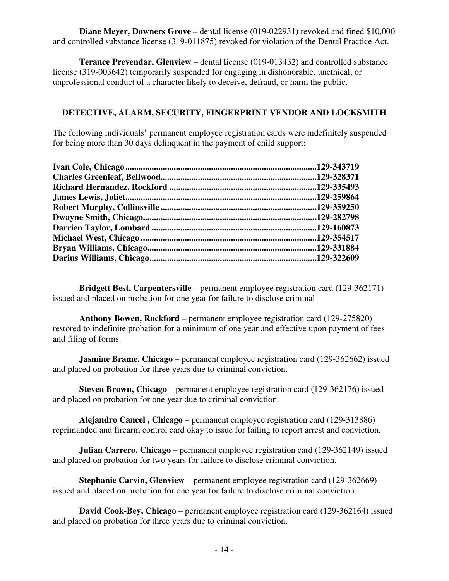**Diane Meyer, Downers Grove** – dental license (019-022931) revoked and fined \$10,000 and controlled substance license (319-011875) revoked for violation of the Dental Practice Act.

 **Terance Prevendar, Glenview** – dental license (019-013432) and controlled substance license (319-003642) temporarily suspended for engaging in dishonorable, unethical, or unprofessional conduct of a character likely to deceive, defraud, or harm the public.

#### **DETECTIVE, ALARM, SECURITY, FINGERPRINT VENDOR AND LOCKSMITH**

The following individuals' permanent employee registration cards were indefinitely suspended for being more than 30 days delinquent in the payment of child support:

 **Bridgett Best, Carpentersville** – permanent employee registration card (129-362171) issued and placed on probation for one year for failure to disclose criminal

 **Anthony Bowen, Rockford** – permanent employee registration card (129-275820) restored to indefinite probation for a minimum of one year and effective upon payment of fees and filing of forms.

**Jasmine Brame, Chicago** – permanent employee registration card (129-362662) issued and placed on probation for three years due to criminal conviction.

 **Steven Brown, Chicago** – permanent employee registration card (129-362176) issued and placed on probation for one year due to criminal conviction.

 **Alejandro Cancel , Chicago** – permanent employee registration card (129-313886) reprimanded and firearm control card okay to issue for failing to report arrest and conviction.

 **Julian Carrero, Chicago** – permanent employee registration card (129-362149) issued and placed on probation for two years for failure to disclose criminal conviction.

**Stephanie Carvin, Glenview** – permanent employee registration card (129-362669) issued and placed on probation for one year for failure to disclose criminal conviction.

 **David Cook-Bey, Chicago** – permanent employee registration card (129-362164) issued and placed on probation for three years due to criminal conviction.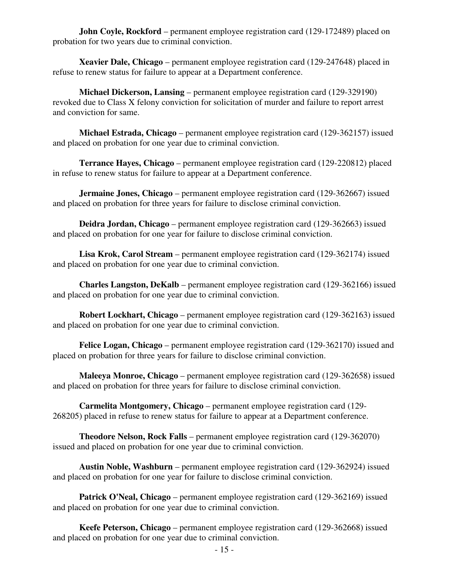**John Coyle, Rockford** – permanent employee registration card (129-172489) placed on probation for two years due to criminal conviction.

 **Xeavier Dale, Chicago** – permanent employee registration card (129-247648) placed in refuse to renew status for failure to appear at a Department conference.

 **Michael Dickerson, Lansing** – permanent employee registration card (129-329190) revoked due to Class X felony conviction for solicitation of murder and failure to report arrest and conviction for same.

 **Michael Estrada, Chicago** – permanent employee registration card (129-362157) issued and placed on probation for one year due to criminal conviction.

 **Terrance Hayes, Chicago** – permanent employee registration card (129-220812) placed in refuse to renew status for failure to appear at a Department conference.

**Jermaine Jones, Chicago** – permanent employee registration card (129-362667) issued and placed on probation for three years for failure to disclose criminal conviction.

 **Deidra Jordan, Chicago** – permanent employee registration card (129-362663) issued and placed on probation for one year for failure to disclose criminal conviction.

 **Lisa Krok, Carol Stream** – permanent employee registration card (129-362174) issued and placed on probation for one year due to criminal conviction.

 **Charles Langston, DeKalb** – permanent employee registration card (129-362166) issued and placed on probation for one year due to criminal conviction.

 **Robert Lockhart, Chicago** – permanent employee registration card (129-362163) issued and placed on probation for one year due to criminal conviction.

 **Felice Logan, Chicago** – permanent employee registration card (129-362170) issued and placed on probation for three years for failure to disclose criminal conviction.

 **Maleeya Monroe, Chicago** – permanent employee registration card (129-362658) issued and placed on probation for three years for failure to disclose criminal conviction.

 **Carmelita Montgomery, Chicago** – permanent employee registration card (129- 268205) placed in refuse to renew status for failure to appear at a Department conference.

 **Theodore Nelson, Rock Falls** – permanent employee registration card (129-362070) issued and placed on probation for one year due to criminal conviction.

 **Austin Noble, Washburn** – permanent employee registration card (129-362924) issued and placed on probation for one year for failure to disclose criminal conviction.

 **Patrick O'Neal, Chicago** – permanent employee registration card (129-362169) issued and placed on probation for one year due to criminal conviction.

 **Keefe Peterson, Chicago** – permanent employee registration card (129-362668) issued and placed on probation for one year due to criminal conviction.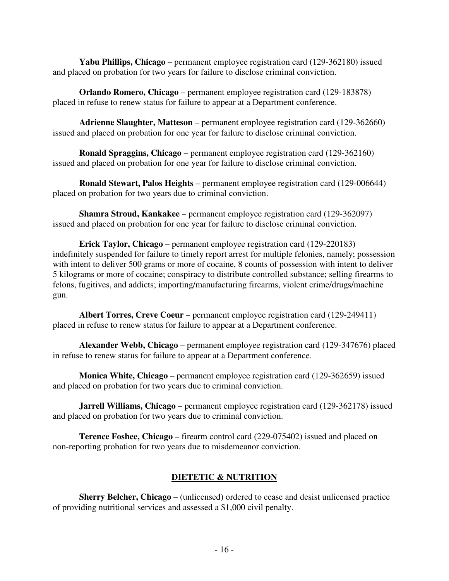**Yabu Phillips, Chicago** – permanent employee registration card (129-362180) issued and placed on probation for two years for failure to disclose criminal conviction.

 **Orlando Romero, Chicago** – permanent employee registration card (129-183878) placed in refuse to renew status for failure to appear at a Department conference.

 **Adrienne Slaughter, Matteson** – permanent employee registration card (129-362660) issued and placed on probation for one year for failure to disclose criminal conviction.

 **Ronald Spraggins, Chicago** – permanent employee registration card (129-362160) issued and placed on probation for one year for failure to disclose criminal conviction.

 **Ronald Stewart, Palos Heights** – permanent employee registration card (129-006644) placed on probation for two years due to criminal conviction.

 **Shamra Stroud, Kankakee** – permanent employee registration card (129-362097) issued and placed on probation for one year for failure to disclose criminal conviction.

 **Erick Taylor, Chicago** – permanent employee registration card (129-220183) indefinitely suspended for failure to timely report arrest for multiple felonies, namely; possession with intent to deliver 500 grams or more of cocaine, 8 counts of possession with intent to deliver 5 kilograms or more of cocaine; conspiracy to distribute controlled substance; selling firearms to felons, fugitives, and addicts; importing/manufacturing firearms, violent crime/drugs/machine gun.

 **Albert Torres, Creve Coeur** – permanent employee registration card (129-249411) placed in refuse to renew status for failure to appear at a Department conference.

 **Alexander Webb, Chicago** – permanent employee registration card (129-347676) placed in refuse to renew status for failure to appear at a Department conference.

 **Monica White, Chicago** – permanent employee registration card (129-362659) issued and placed on probation for two years due to criminal conviction.

 **Jarrell Williams, Chicago** – permanent employee registration card (129-362178) issued and placed on probation for two years due to criminal conviction.

 **Terence Foshee, Chicago** – firearm control card (229-075402) issued and placed on non-reporting probation for two years due to misdemeanor conviction.

### **DIETETIC & NUTRITION**

**Sherry Belcher, Chicago** – (unlicensed) ordered to cease and desist unlicensed practice of providing nutritional services and assessed a \$1,000 civil penalty.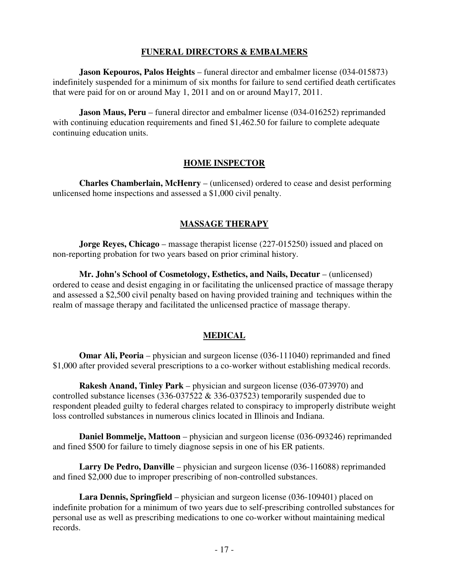#### **FUNERAL DIRECTORS & EMBALMERS**

 **Jason Kepouros, Palos Heights** – funeral director and embalmer license (034-015873) indefinitely suspended for a minimum of six months for failure to send certified death certificates that were paid for on or around May 1, 2011 and on or around May17, 2011.

**Jason Maus, Peru** – funeral director and embalmer license (034-016252) reprimanded with continuing education requirements and fined \$1,462.50 for failure to complete adequate continuing education units.

#### **HOME INSPECTOR**

 **Charles Chamberlain, McHenry** – (unlicensed) ordered to cease and desist performing unlicensed home inspections and assessed a \$1,000 civil penalty.

### **MASSAGE THERAPY**

 **Jorge Reyes, Chicago** – massage therapist license (227-015250) issued and placed on non-reporting probation for two years based on prior criminal history.

 **Mr. John's School of Cosmetology, Esthetics, and Nails, Decatur** – (unlicensed) ordered to cease and desist engaging in or facilitating the unlicensed practice of massage therapy and assessed a \$2,500 civil penalty based on having provided training and techniques within the realm of massage therapy and facilitated the unlicensed practice of massage therapy.

### **MEDICAL**

**Omar Ali, Peoria** – physician and surgeon license (036-111040) reprimanded and fined \$1,000 after provided several prescriptions to a co-worker without establishing medical records.

 **Rakesh Anand, Tinley Park** – physician and surgeon license (036-073970) and controlled substance licenses (336-037522 & 336-037523) temporarily suspended due to respondent pleaded guilty to federal charges related to conspiracy to improperly distribute weight loss controlled substances in numerous clinics located in Illinois and Indiana.

 **Daniel Bommelje, Mattoon** – physician and surgeon license (036-093246) reprimanded and fined \$500 for failure to timely diagnose sepsis in one of his ER patients.

 **Larry De Pedro, Danville** – physician and surgeon license (036-116088) reprimanded and fined \$2,000 due to improper prescribing of non-controlled substances.

 **Lara Dennis, Springfield** – physician and surgeon license (036-109401) placed on indefinite probation for a minimum of two years due to self-prescribing controlled substances for personal use as well as prescribing medications to one co-worker without maintaining medical records.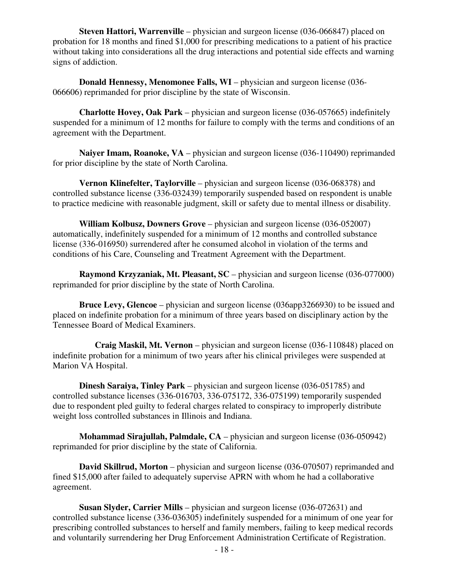**Steven Hattori, Warrenville** – physician and surgeon license (036-066847) placed on probation for 18 months and fined \$1,000 for prescribing medications to a patient of his practice without taking into considerations all the drug interactions and potential side effects and warning signs of addiction.

**Donald Hennessy, Menomonee Falls, WI** – physician and surgeon license (036-066606) reprimanded for prior discipline by the state of Wisconsin.

 **Charlotte Hovey, Oak Park** – physician and surgeon license (036-057665) indefinitely suspended for a minimum of 12 months for failure to comply with the terms and conditions of an agreement with the Department.

**Naiyer Imam, Roanoke, VA** – physician and surgeon license (036-110490) reprimanded for prior discipline by the state of North Carolina.

 **Vernon Klinefelter, Taylorville** – physician and surgeon license (036-068378) and controlled substance license (336-032439) temporarily suspended based on respondent is unable to practice medicine with reasonable judgment, skill or safety due to mental illness or disability.

 **William Kolbusz, Downers Grove** – physician and surgeon license (036-052007) automatically, indefinitely suspended for a minimum of 12 months and controlled substance license (336-016950) surrendered after he consumed alcohol in violation of the terms and conditions of his Care, Counseling and Treatment Agreement with the Department.

 **Raymond Krzyzaniak, Mt. Pleasant, SC** – physician and surgeon license (036-077000) reprimanded for prior discipline by the state of North Carolina.

 **Bruce Levy, Glencoe** – physician and surgeon license (036app3266930) to be issued and placed on indefinite probation for a minimum of three years based on disciplinary action by the Tennessee Board of Medical Examiners.

 **Craig Maskil, Mt. Vernon** – physician and surgeon license (036-110848) placed on indefinite probation for a minimum of two years after his clinical privileges were suspended at Marion VA Hospital.

 **Dinesh Saraiya, Tinley Park** – physician and surgeon license (036-051785) and controlled substance licenses (336-016703, 336-075172, 336-075199) temporarily suspended due to respondent pled guilty to federal charges related to conspiracy to improperly distribute weight loss controlled substances in Illinois and Indiana.

**Mohammad Sirajullah, Palmdale, CA** – physician and surgeon license (036-050942) reprimanded for prior discipline by the state of California.

 **David Skillrud, Morton** – physician and surgeon license (036-070507) reprimanded and fined \$15,000 after failed to adequately supervise APRN with whom he had a collaborative agreement.

 **Susan Slyder, Carrier Mills** – physician and surgeon license (036-072631) and controlled substance license (336-036305) indefinitely suspended for a minimum of one year for prescribing controlled substances to herself and family members, failing to keep medical records and voluntarily surrendering her Drug Enforcement Administration Certificate of Registration.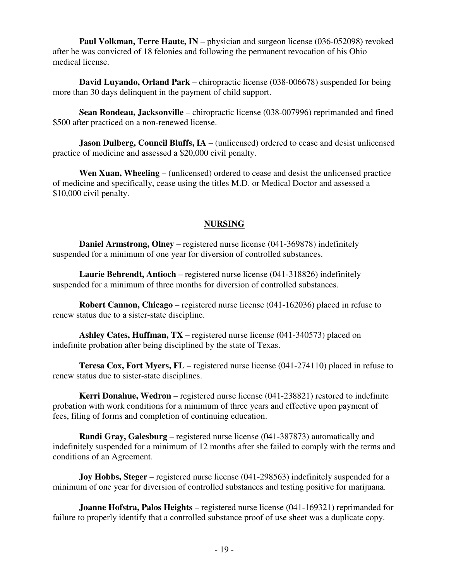**Paul Volkman, Terre Haute, IN** – physician and surgeon license (036-052098) revoked after he was convicted of 18 felonies and following the permanent revocation of his Ohio medical license.

 **David Luyando, Orland Park** – chiropractic license (038-006678) suspended for being more than 30 days delinquent in the payment of child support.

 **Sean Rondeau, Jacksonville** – chiropractic license (038-007996) reprimanded and fined \$500 after practiced on a non-renewed license.

**Jason Dulberg, Council Bluffs, IA** – (unlicensed) ordered to cease and desist unlicensed practice of medicine and assessed a \$20,000 civil penalty.

 **Wen Xuan, Wheeling** – (unlicensed) ordered to cease and desist the unlicensed practice of medicine and specifically, cease using the titles M.D. or Medical Doctor and assessed a \$10,000 civil penalty.

### **NURSING**

 **Daniel Armstrong, Olney** – registered nurse license (041-369878) indefinitely suspended for a minimum of one year for diversion of controlled substances.

 **Laurie Behrendt, Antioch** – registered nurse license (041-318826) indefinitely suspended for a minimum of three months for diversion of controlled substances.

 **Robert Cannon, Chicago** – registered nurse license (041-162036) placed in refuse to renew status due to a sister-state discipline.

 **Ashley Cates, Huffman, TX** – registered nurse license (041-340573) placed on indefinite probation after being disciplined by the state of Texas.

 **Teresa Cox, Fort Myers, FL** – registered nurse license (041-274110) placed in refuse to renew status due to sister-state disciplines.

 **Kerri Donahue, Wedron** – registered nurse license (041-238821) restored to indefinite probation with work conditions for a minimum of three years and effective upon payment of fees, filing of forms and completion of continuing education.

 **Randi Gray, Galesburg** – registered nurse license (041-387873) automatically and indefinitely suspended for a minimum of 12 months after she failed to comply with the terms and conditions of an Agreement.

**Joy Hobbs, Steger** – registered nurse license (041-298563) indefinitely suspended for a minimum of one year for diversion of controlled substances and testing positive for marijuana.

 **Joanne Hofstra, Palos Heights** – registered nurse license (041-169321) reprimanded for failure to properly identify that a controlled substance proof of use sheet was a duplicate copy.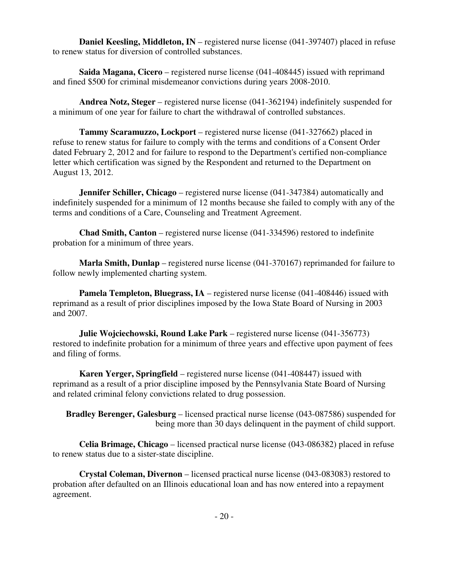**Daniel Keesling, Middleton, IN** – registered nurse license (041-397407) placed in refuse to renew status for diversion of controlled substances.

**Saida Magana, Cicero** – registered nurse license (041-408445) issued with reprimand and fined \$500 for criminal misdemeanor convictions during years 2008-2010.

**Andrea Notz, Steger** – registered nurse license (041-362194) indefinitely suspended for a minimum of one year for failure to chart the withdrawal of controlled substances.

**Tammy Scaramuzzo, Lockport** – registered nurse license (041-327662) placed in refuse to renew status for failure to comply with the terms and conditions of a Consent Order dated February 2, 2012 and for failure to respond to the Department's certified non-compliance letter which certification was signed by the Respondent and returned to the Department on August 13, 2012.

**Jennifer Schiller, Chicago** – registered nurse license (041-347384) automatically and indefinitely suspended for a minimum of 12 months because she failed to comply with any of the terms and conditions of a Care, Counseling and Treatment Agreement.

**Chad Smith, Canton** – registered nurse license (041-334596) restored to indefinite probation for a minimum of three years.

**Marla Smith, Dunlap** – registered nurse license (041-370167) reprimanded for failure to follow newly implemented charting system.

**Pamela Templeton, Bluegrass, IA** – registered nurse license (041-408446) issued with reprimand as a result of prior disciplines imposed by the Iowa State Board of Nursing in 2003 and 2007.

**Julie Wojciechowski, Round Lake Park** – registered nurse license (041-356773) restored to indefinite probation for a minimum of three years and effective upon payment of fees and filing of forms.

**Karen Yerger, Springfield** – registered nurse license (041-408447) issued with reprimand as a result of a prior discipline imposed by the Pennsylvania State Board of Nursing and related criminal felony convictions related to drug possession.

**Bradley Berenger, Galesburg** – licensed practical nurse license (043-087586) suspended for being more than 30 days delinquent in the payment of child support.

**Celia Brimage, Chicago** – licensed practical nurse license (043-086382) placed in refuse to renew status due to a sister-state discipline.

**Crystal Coleman, Divernon** – licensed practical nurse license (043-083083) restored to probation after defaulted on an Illinois educational loan and has now entered into a repayment agreement.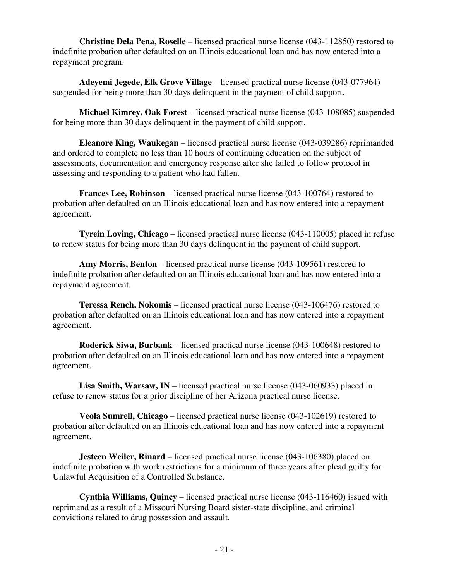**Christine Dela Pena, Roselle** – licensed practical nurse license (043-112850) restored to indefinite probation after defaulted on an Illinois educational loan and has now entered into a repayment program.

 **Adeyemi Jegede, Elk Grove Village** – licensed practical nurse license (043-077964) suspended for being more than 30 days delinquent in the payment of child support.

 **Michael Kimrey, Oak Forest** – licensed practical nurse license (043-108085) suspended for being more than 30 days delinquent in the payment of child support.

 **Eleanore King, Waukegan** – licensed practical nurse license (043-039286) reprimanded and ordered to complete no less than 10 hours of continuing education on the subject of assessments, documentation and emergency response after she failed to follow protocol in assessing and responding to a patient who had fallen.

 **Frances Lee, Robinson** – licensed practical nurse license (043-100764) restored to probation after defaulted on an Illinois educational loan and has now entered into a repayment agreement.

 **Tyrein Loving, Chicago** – licensed practical nurse license (043-110005) placed in refuse to renew status for being more than 30 days delinquent in the payment of child support.

 **Amy Morris, Benton** – licensed practical nurse license (043-109561) restored to indefinite probation after defaulted on an Illinois educational loan and has now entered into a repayment agreement.

 **Teressa Rench, Nokomis** – licensed practical nurse license (043-106476) restored to probation after defaulted on an Illinois educational loan and has now entered into a repayment agreement.

 **Roderick Siwa, Burbank** – licensed practical nurse license (043-100648) restored to probation after defaulted on an Illinois educational loan and has now entered into a repayment agreement.

 **Lisa Smith, Warsaw, IN** – licensed practical nurse license (043-060933) placed in refuse to renew status for a prior discipline of her Arizona practical nurse license.

 **Veola Sumrell, Chicago** – licensed practical nurse license (043-102619) restored to probation after defaulted on an Illinois educational loan and has now entered into a repayment agreement.

**Jesteen Weiler, Rinard** – licensed practical nurse license (043-106380) placed on indefinite probation with work restrictions for a minimum of three years after plead guilty for Unlawful Acquisition of a Controlled Substance.

 **Cynthia Williams, Quincy** – licensed practical nurse license (043-116460) issued with reprimand as a result of a Missouri Nursing Board sister-state discipline, and criminal convictions related to drug possession and assault.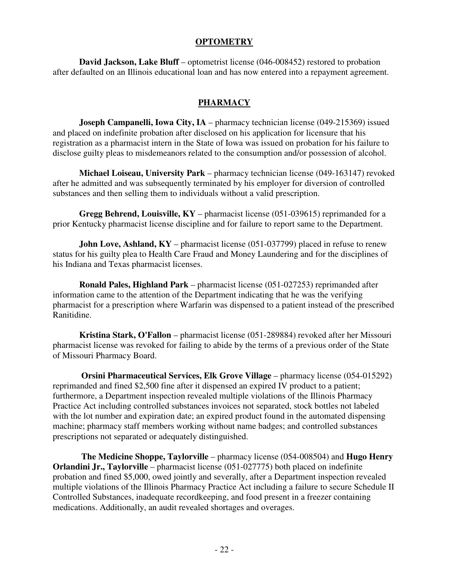#### **OPTOMETRY**

 **David Jackson, Lake Bluff** – optometrist license (046-008452) restored to probation after defaulted on an Illinois educational loan and has now entered into a repayment agreement.

#### **PHARMACY**

**Joseph Campanelli, Iowa City, IA** – pharmacy technician license (049-215369) issued and placed on indefinite probation after disclosed on his application for licensure that his registration as a pharmacist intern in the State of Iowa was issued on probation for his failure to disclose guilty pleas to misdemeanors related to the consumption and/or possession of alcohol.

 **Michael Loiseau, University Park** – pharmacy technician license (049-163147) revoked after he admitted and was subsequently terminated by his employer for diversion of controlled substances and then selling them to individuals without a valid prescription.

 **Gregg Behrend, Louisville, KY** – pharmacist license (051-039615) reprimanded for a prior Kentucky pharmacist license discipline and for failure to report same to the Department.

**John Love, Ashland, KY** – pharmacist license (051-037799) placed in refuse to renew status for his guilty plea to Health Care Fraud and Money Laundering and for the disciplines of his Indiana and Texas pharmacist licenses.

 **Ronald Pales, Highland Park** – pharmacist license (051-027253) reprimanded after information came to the attention of the Department indicating that he was the verifying pharmacist for a prescription where Warfarin was dispensed to a patient instead of the prescribed Ranitidine.

 **Kristina Stark, O'Fallon** – pharmacist license (051-289884) revoked after her Missouri pharmacist license was revoked for failing to abide by the terms of a previous order of the State of Missouri Pharmacy Board.

 **Orsini Pharmaceutical Services, Elk Grove Village** – pharmacy license (054-015292) reprimanded and fined \$2,500 fine after it dispensed an expired IV product to a patient; furthermore, a Department inspection revealed multiple violations of the Illinois Pharmacy Practice Act including controlled substances invoices not separated, stock bottles not labeled with the lot number and expiration date; an expired product found in the automated dispensing machine; pharmacy staff members working without name badges; and controlled substances prescriptions not separated or adequately distinguished.

 **The Medicine Shoppe, Taylorville** – pharmacy license (054-008504) and **Hugo Henry Orlandini Jr., Taylorville** – pharmacist license (051-027775) both placed on indefinite probation and fined \$5,000, owed jointly and severally, after a Department inspection revealed multiple violations of the Illinois Pharmacy Practice Act including a failure to secure Schedule II Controlled Substances, inadequate recordkeeping, and food present in a freezer containing medications. Additionally, an audit revealed shortages and overages.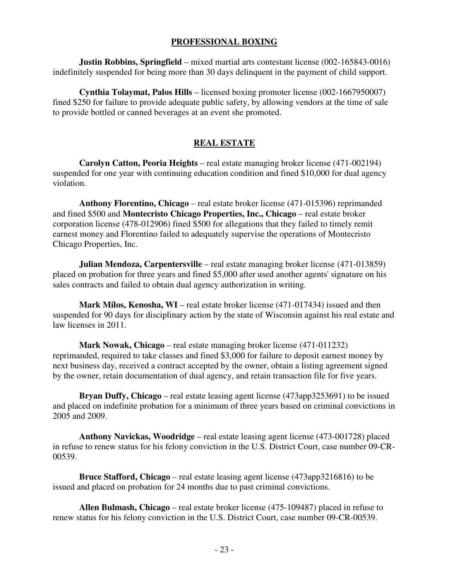#### **PROFESSIONAL BOXING**

**Justin Robbins, Springfield** – mixed martial arts contestant license (002-165843-0016) indefinitely suspended for being more than 30 days delinquent in the payment of child support.

 **Cynthia Tolaymat, Palos Hills** – licensed boxing promoter license (002-1667950007) fined \$250 for failure to provide adequate public safety, by allowing vendors at the time of sale to provide bottled or canned beverages at an event she promoted.

#### **REAL ESTATE**

 **Carolyn Catton, Peoria Heights** – real estate managing broker license (471-002194) suspended for one year with continuing education condition and fined \$10,000 for dual agency violation.

 **Anthony Florentino, Chicago** – real estate broker license (471-015396) reprimanded and fined \$500 and **Montecristo Chicago Properties, Inc., Chicago** – real estate broker corporation license (478-012906) fined \$500 for allegations that they failed to timely remit earnest money and Florentino failed to adequately supervise the operations of Montecristo Chicago Properties, Inc.

**Julian Mendoza, Carpentersville** – real estate managing broker license (471-013859) placed on probation for three years and fined \$5,000 after used another agents' signature on his sales contracts and failed to obtain dual agency authorization in writing.

 **Mark Milos, Kenosha, WI** – real estate broker license (471-017434) issued and then suspended for 90 days for disciplinary action by the state of Wisconsin against his real estate and law licenses in 2011.

 **Mark Nowak, Chicago** – real estate managing broker license (471-011232) reprimanded, required to take classes and fined \$3,000 for failure to deposit earnest money by next business day, received a contract accepted by the owner, obtain a listing agreement signed by the owner, retain documentation of dual agency, and retain transaction file for five years.

 **Bryan Duffy, Chicago** – real estate leasing agent license (473app3253691) to be issued and placed on indefinite probation for a minimum of three years based on criminal convictions in 2005 and 2009.

 **Anthony Navickas, Woodridge** – real estate leasing agent license (473-001728) placed in refuse to renew status for his felony conviction in the U.S. District Court, case number 09-CR-00539.

 **Bruce Stafford, Chicago** – real estate leasing agent license (473app3216816) to be issued and placed on probation for 24 months due to past criminal convictions.

 **Allen Bulmash, Chicago** – real estate broker license (475-109487) placed in refuse to renew status for his felony conviction in the U.S. District Court, case number 09-CR-00539.